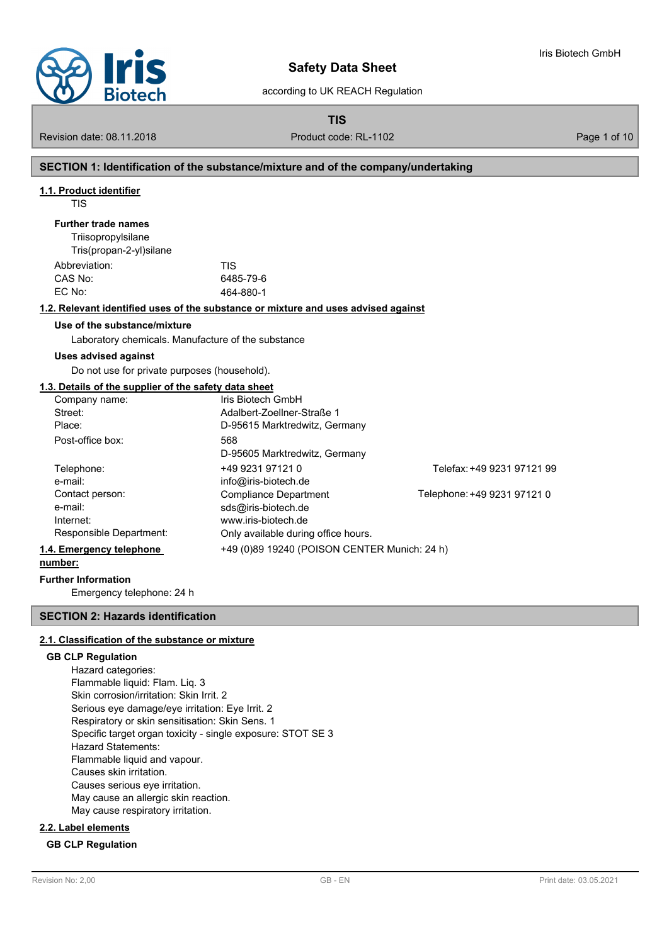

according to UK REACH Regulation

**TIS**

Revision date: 08.11.2018 **Product code: RL-1102** Page 1 of 10

Iris Biotech GmbH

### **SECTION 1: Identification of the substance/mixture and of the company/undertaking**

#### **1.1. Product identifier**

TIS

#### **Further trade names**

**Triisopropylsilane** Tris(propan-2-yl)silane Abbreviation: TIS CAS No: 6485-79-6 EC No: 464-880-1

#### **1.2. Relevant identified uses of the substance or mixture and uses advised against**

#### **Use of the substance/mixture**

Laboratory chemicals. Manufacture of the substance

#### **Uses advised against**

Do not use for private purposes (household).

#### **1.3. Details of the supplier of the safety data sheet**

|                          | Company name:           | Iris Biotech GmbH                            |                             |
|--------------------------|-------------------------|----------------------------------------------|-----------------------------|
|                          | Street:                 | Adalbert-Zoellner-Straße 1                   |                             |
|                          | Place:                  | D-95615 Marktredwitz, Germany                |                             |
|                          | Post-office box:        | 568                                          |                             |
|                          |                         | D-95605 Marktredwitz, Germany                |                             |
|                          | Telephone:              | +49 9231 97121 0                             | Telefax: +49 9231 97121 99  |
|                          | e-mail:                 | info@iris-biotech.de                         |                             |
|                          | Contact person:         | <b>Compliance Department</b>                 | Telephone: +49 9231 97121 0 |
|                          | e-mail:                 | sds@iris-biotech.de                          |                             |
|                          | Internet:               | www.iris-biotech.de                          |                             |
|                          | Responsible Department: | Only available during office hours.          |                             |
| 1.4. Emergency telephone |                         | +49 (0)89 19240 (POISON CENTER Munich: 24 h) |                             |
|                          |                         |                                              |                             |

#### **number:**

#### **Further Information**

Emergency telephone: 24 h

#### **SECTION 2: Hazards identification**

#### **2.1. Classification of the substance or mixture**

#### **GB CLP Regulation**

Hazard categories: Flammable liquid: Flam. Liq. 3 Skin corrosion/irritation: Skin Irrit. 2 Serious eye damage/eye irritation: Eye Irrit. 2 Respiratory or skin sensitisation: Skin Sens. 1 Specific target organ toxicity - single exposure: STOT SE 3 Hazard Statements: Flammable liquid and vapour. Causes skin irritation. Causes serious eye irritation. May cause an allergic skin reaction. May cause respiratory irritation.

### **2.2. Label elements**

### **GB CLP Regulation**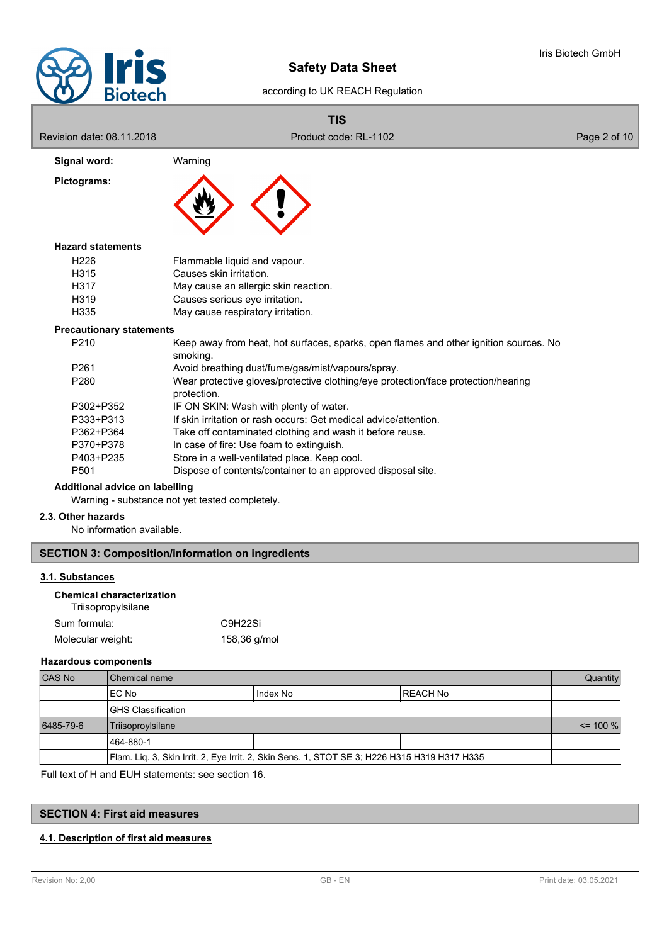

### according to UK REACH Regulation

|                                 | <b>TIS</b>                                                                                        |              |
|---------------------------------|---------------------------------------------------------------------------------------------------|--------------|
| Revision date: 08.11.2018       | Product code: RL-1102                                                                             | Page 2 of 10 |
| Signal word:                    | Warning                                                                                           |              |
| Pictograms:                     |                                                                                                   |              |
| <b>Hazard statements</b>        |                                                                                                   |              |
| H <sub>226</sub>                | Flammable liquid and vapour.                                                                      |              |
| H <sub>315</sub>                | Causes skin irritation.                                                                           |              |
| H317                            | May cause an allergic skin reaction.                                                              |              |
| H <sub>319</sub>                | Causes serious eye irritation.                                                                    |              |
| H335                            | May cause respiratory irritation.                                                                 |              |
| <b>Precautionary statements</b> |                                                                                                   |              |
| P <sub>210</sub>                | Keep away from heat, hot surfaces, sparks, open flames and other ignition sources. No<br>smoking. |              |
| P <sub>261</sub>                | Avoid breathing dust/fume/gas/mist/vapours/spray.                                                 |              |
| P <sub>280</sub>                | Wear protective gloves/protective clothing/eye protection/face protection/hearing<br>protection.  |              |
| P302+P352                       | IF ON SKIN: Wash with plenty of water.                                                            |              |

- P333+P313 If skin irritation or rash occurs: Get medical advice/attention.
- P362+P364 Take off contaminated clothing and wash it before reuse.<br>P370+P378 In case of fire: Use foam to extinguish
- P370+P378 In case of fire: Use foam to extinguish.<br>P403+P235 Store in a well-ventilated place. Keep of
- Store in a well-ventilated place. Keep cool.
- P501 Dispose of contents/container to an approved disposal site.

### **Additional advice on labelling**

Warning - substance not yet tested completely.

### **2.3. Other hazards**

No information available.

# **SECTION 3: Composition/information on ingredients**

### **3.1. Substances**

| <b>Chemical characterization</b><br>Triisopropylsilane |                     |  |
|--------------------------------------------------------|---------------------|--|
| Sum formula:                                           | C9H <sub>22Si</sub> |  |
| Molecular weight:                                      | 158,36 g/mol        |  |

### **Hazardous components**

| <b>CAS No</b> | l Chemical name                                                                              |          | Quantity        |  |
|---------------|----------------------------------------------------------------------------------------------|----------|-----------------|--|
|               | IEC No                                                                                       | Index No | <b>REACH No</b> |  |
|               | <b>IGHS Classification</b>                                                                   |          |                 |  |
| 6485-79-6     | Triisoproylsilane                                                                            |          | $\le$ 100 %     |  |
|               | 1464-880-1                                                                                   |          |                 |  |
|               | Flam. Lig. 3, Skin Irrit. 2, Eye Irrit. 2, Skin Sens. 1, STOT SE 3; H226 H315 H319 H317 H335 |          |                 |  |

Full text of H and EUH statements: see section 16.

# **SECTION 4: First aid measures**

# **4.1. Description of first aid measures**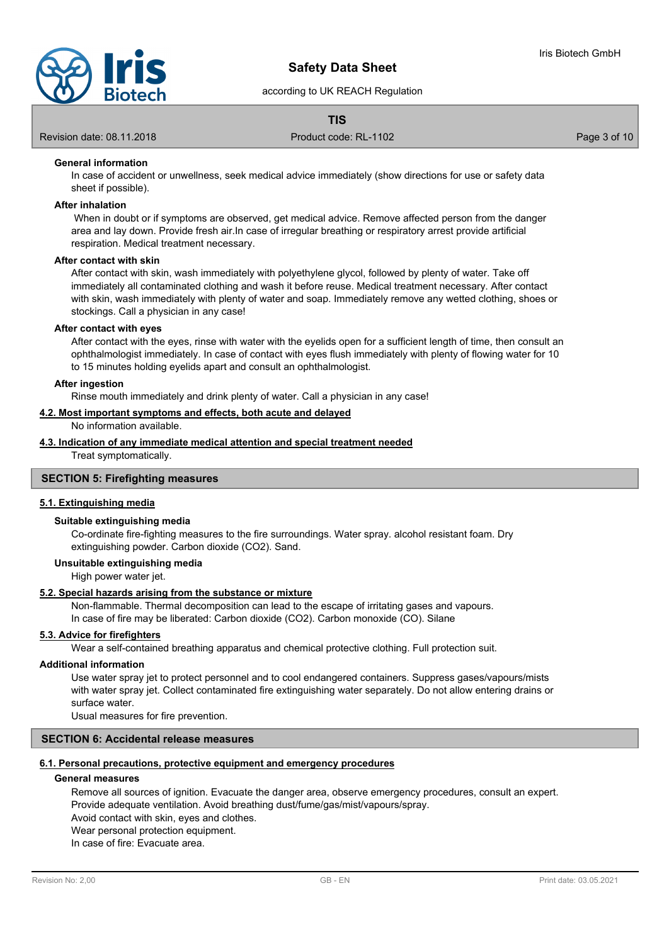

### according to UK REACH Regulation

### **TIS**

Revision date: 08.11.2018 **Product code: RL-1102** Page 3 of 10

### **General information**

In case of accident or unwellness, seek medical advice immediately (show directions for use or safety data sheet if possible).

#### **After inhalation**

 When in doubt or if symptoms are observed, get medical advice. Remove affected person from the danger area and lay down. Provide fresh air.In case of irregular breathing or respiratory arrest provide artificial respiration. Medical treatment necessary.

#### **After contact with skin**

After contact with skin, wash immediately with polyethylene glycol, followed by plenty of water. Take off immediately all contaminated clothing and wash it before reuse. Medical treatment necessary. After contact with skin, wash immediately with plenty of water and soap. Immediately remove any wetted clothing, shoes or stockings. Call a physician in any case!

#### **After contact with eyes**

After contact with the eyes, rinse with water with the eyelids open for a sufficient length of time, then consult an ophthalmologist immediately. In case of contact with eyes flush immediately with plenty of flowing water for 10 to 15 minutes holding eyelids apart and consult an ophthalmologist.

#### **After ingestion**

Rinse mouth immediately and drink plenty of water. Call a physician in any case!

#### **4.2. Most important symptoms and effects, both acute and delayed**

No information available.

### **4.3. Indication of any immediate medical attention and special treatment needed**

Treat symptomatically.

#### **SECTION 5: Firefighting measures**

#### **5.1. Extinguishing media**

#### **Suitable extinguishing media**

Co-ordinate fire-fighting measures to the fire surroundings. Water spray. alcohol resistant foam. Dry extinguishing powder. Carbon dioxide (CO2). Sand.

### **Unsuitable extinguishing media**

High power water jet.

#### **5.2. Special hazards arising from the substance or mixture**

Non-flammable. Thermal decomposition can lead to the escape of irritating gases and vapours. In case of fire may be liberated: Carbon dioxide (CO2). Carbon monoxide (CO). Silane

### **5.3. Advice for firefighters**

Wear a self-contained breathing apparatus and chemical protective clothing. Full protection suit.

#### **Additional information**

Use water spray jet to protect personnel and to cool endangered containers. Suppress gases/vapours/mists with water spray jet. Collect contaminated fire extinguishing water separately. Do not allow entering drains or surface water.

Usual measures for fire prevention.

### **SECTION 6: Accidental release measures**

#### **6.1. Personal precautions, protective equipment and emergency procedures**

#### **General measures**

Remove all sources of ignition. Evacuate the danger area, observe emergency procedures, consult an expert. Provide adequate ventilation. Avoid breathing dust/fume/gas/mist/vapours/spray.

Avoid contact with skin, eyes and clothes.

Wear personal protection equipment.

In case of fire: Evacuate area.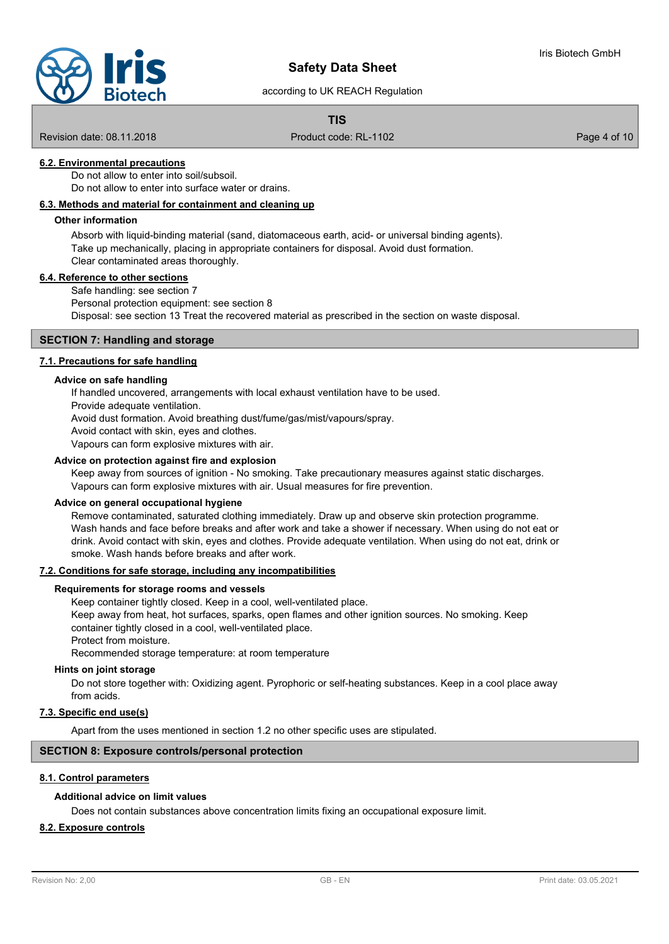

according to UK REACH Regulation

### **TIS**

Revision date: 08.11.2018 **Product code: RL-1102** Page 4 of 10

### **6.2. Environmental precautions**

Do not allow to enter into soil/subsoil

Do not allow to enter into surface water or drains.

### **6.3. Methods and material for containment and cleaning up**

#### **Other information**

Absorb with liquid-binding material (sand, diatomaceous earth, acid- or universal binding agents). Take up mechanically, placing in appropriate containers for disposal. Avoid dust formation. Clear contaminated areas thoroughly.

#### **6.4. Reference to other sections**

Safe handling: see section 7 Personal protection equipment: see section 8 Disposal: see section 13 Treat the recovered material as prescribed in the section on waste disposal.

#### **SECTION 7: Handling and storage**

#### **7.1. Precautions for safe handling**

#### **Advice on safe handling**

If handled uncovered, arrangements with local exhaust ventilation have to be used.

Provide adequate ventilation.

Avoid dust formation. Avoid breathing dust/fume/gas/mist/vapours/spray.

Avoid contact with skin, eyes and clothes.

Vapours can form explosive mixtures with air.

#### **Advice on protection against fire and explosion**

Keep away from sources of ignition - No smoking. Take precautionary measures against static discharges. Vapours can form explosive mixtures with air. Usual measures for fire prevention.

#### **Advice on general occupational hygiene**

Remove contaminated, saturated clothing immediately. Draw up and observe skin protection programme. Wash hands and face before breaks and after work and take a shower if necessary. When using do not eat or drink. Avoid contact with skin, eyes and clothes. Provide adequate ventilation. When using do not eat, drink or smoke. Wash hands before breaks and after work.

#### **7.2. Conditions for safe storage, including any incompatibilities**

### **Requirements for storage rooms and vessels**

Keep container tightly closed. Keep in a cool, well-ventilated place. Keep away from heat, hot surfaces, sparks, open flames and other ignition sources. No smoking. Keep container tightly closed in a cool, well-ventilated place. Protect from moisture.

Recommended storage temperature: at room temperature

#### **Hints on joint storage**

Do not store together with: Oxidizing agent. Pyrophoric or self-heating substances. Keep in a cool place away from acids.

### **7.3. Specific end use(s)**

Apart from the uses mentioned in section 1.2 no other specific uses are stipulated.

### **SECTION 8: Exposure controls/personal protection**

#### **8.1. Control parameters**

#### **Additional advice on limit values**

Does not contain substances above concentration limits fixing an occupational exposure limit.

### **8.2. Exposure controls**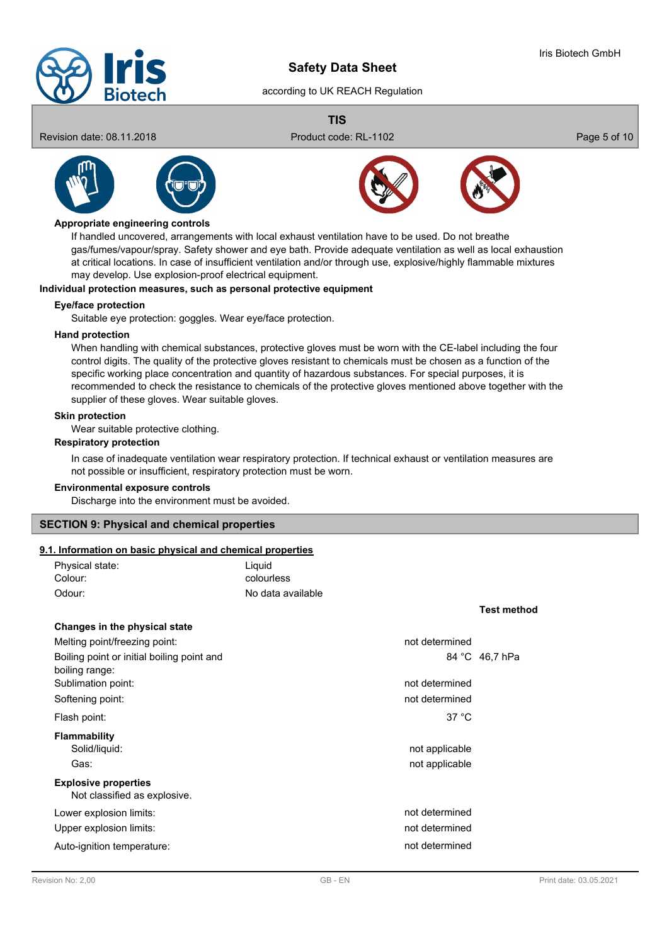

### according to UK REACH Regulation

**TIS**





#### **Appropriate engineering controls**

If handled uncovered, arrangements with local exhaust ventilation have to be used. Do not breathe gas/fumes/vapour/spray. Safety shower and eye bath. Provide adequate ventilation as well as local exhaustion at critical locations. In case of insufficient ventilation and/or through use, explosive/highly flammable mixtures may develop. Use explosion-proof electrical equipment.

#### **Individual protection measures, such as personal protective equipment**

#### **Eye/face protection**

Suitable eye protection: goggles. Wear eye/face protection.

#### **Hand protection**

When handling with chemical substances, protective gloves must be worn with the CE-label including the four control digits. The quality of the protective gloves resistant to chemicals must be chosen as a function of the specific working place concentration and quantity of hazardous substances. For special purposes, it is recommended to check the resistance to chemicals of the protective gloves mentioned above together with the supplier of these gloves. Wear suitable gloves.

#### **Skin protection**

Wear suitable protective clothing.

#### **Respiratory protection**

In case of inadequate ventilation wear respiratory protection. If technical exhaust or ventilation measures are not possible or insufficient, respiratory protection must be worn.

#### **Environmental exposure controls**

Discharge into the environment must be avoided.

#### **SECTION 9: Physical and chemical properties**

# **9.1. Information on basic physical and chemical properties**

| . Information on basic physical and chemical properties      |                   |                    |
|--------------------------------------------------------------|-------------------|--------------------|
| Physical state:                                              | Liquid            |                    |
| Colour:                                                      | colourless        |                    |
| Odour:                                                       | No data available |                    |
|                                                              |                   | <b>Test method</b> |
| Changes in the physical state                                |                   |                    |
| Melting point/freezing point:                                | not determined    |                    |
| Boiling point or initial boiling point and<br>boiling range: |                   | 84 °C 46,7 hPa     |
| Sublimation point:                                           | not determined    |                    |
| Softening point:                                             | not determined    |                    |
| Flash point:                                                 | 37 °C             |                    |
| <b>Flammability</b>                                          |                   |                    |
| Solid/liquid:                                                | not applicable    |                    |
| Gas:                                                         | not applicable    |                    |
| <b>Explosive properties</b><br>Not classified as explosive.  |                   |                    |
| Lower explosion limits:                                      | not determined    |                    |
| Upper explosion limits:                                      | not determined    |                    |
| Auto-ignition temperature:                                   | not determined    |                    |
|                                                              |                   |                    |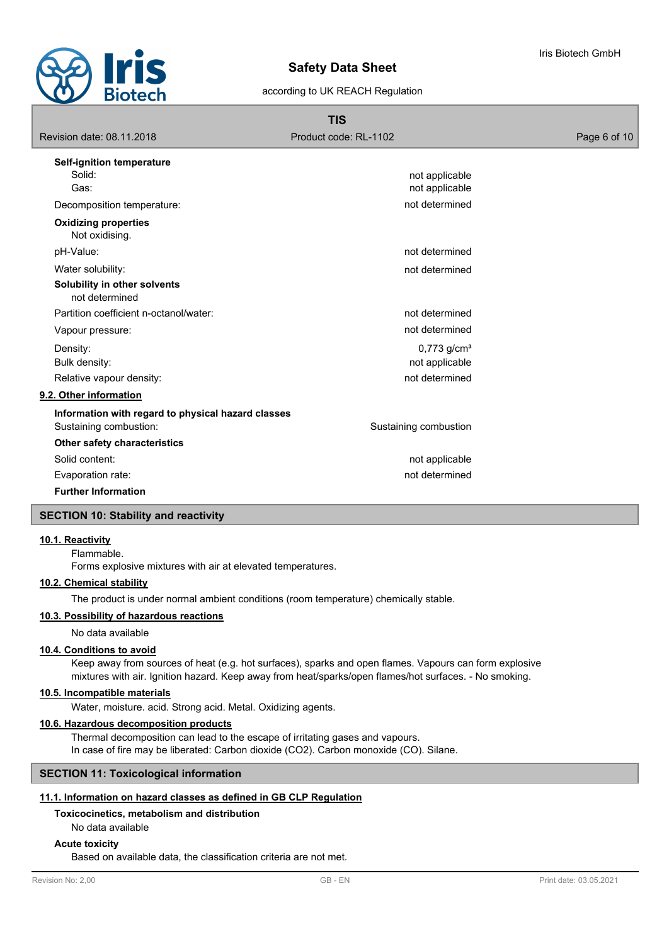

### according to UK REACH Regulation

| <b>TIS</b>                                                                   |                                                               |              |  |
|------------------------------------------------------------------------------|---------------------------------------------------------------|--------------|--|
| Revision date: 08.11.2018                                                    | Product code: RL-1102                                         | Page 6 of 10 |  |
| Self-ignition temperature                                                    |                                                               |              |  |
| Solid:<br>Gas:                                                               | not applicable<br>not applicable                              |              |  |
| Decomposition temperature:                                                   | not determined                                                |              |  |
| <b>Oxidizing properties</b><br>Not oxidising.                                |                                                               |              |  |
| pH-Value:                                                                    | not determined                                                |              |  |
| Water solubility:                                                            | not determined                                                |              |  |
| Solubility in other solvents<br>not determined                               |                                                               |              |  |
| Partition coefficient n-octanol/water:                                       | not determined                                                |              |  |
| Vapour pressure:                                                             | not determined                                                |              |  |
| Density:<br>Bulk density:                                                    | $0,773$ g/cm <sup>3</sup><br>not applicable<br>not determined |              |  |
| Relative vapour density:<br>9.2. Other information                           |                                                               |              |  |
|                                                                              |                                                               |              |  |
| Information with regard to physical hazard classes<br>Sustaining combustion: | Sustaining combustion                                         |              |  |
| Other safety characteristics                                                 |                                                               |              |  |
| Solid content:                                                               | not applicable                                                |              |  |
| Evaporation rate:                                                            | not determined                                                |              |  |
| <b>Further Information</b>                                                   |                                                               |              |  |

### **SECTION 10: Stability and reactivity**

### **10.1. Reactivity**

Flammable.

Forms explosive mixtures with air at elevated temperatures.

### **10.2. Chemical stability**

The product is under normal ambient conditions (room temperature) chemically stable.

### **10.3. Possibility of hazardous reactions**

No data available

### **10.4. Conditions to avoid**

Keep away from sources of heat (e.g. hot surfaces), sparks and open flames. Vapours can form explosive mixtures with air. Ignition hazard. Keep away from heat/sparks/open flames/hot surfaces. - No smoking.

### **10.5. Incompatible materials**

Water, moisture. acid. Strong acid. Metal. Oxidizing agents.

### **10.6. Hazardous decomposition products**

Thermal decomposition can lead to the escape of irritating gases and vapours. In case of fire may be liberated: Carbon dioxide (CO2). Carbon monoxide (CO). Silane.

# **SECTION 11: Toxicological information**

# **11.1. Information on hazard classes as defined in GB CLP Regulation**

**Toxicocinetics, metabolism and distribution**

# No data available

### **Acute toxicity**

Based on available data, the classification criteria are not met.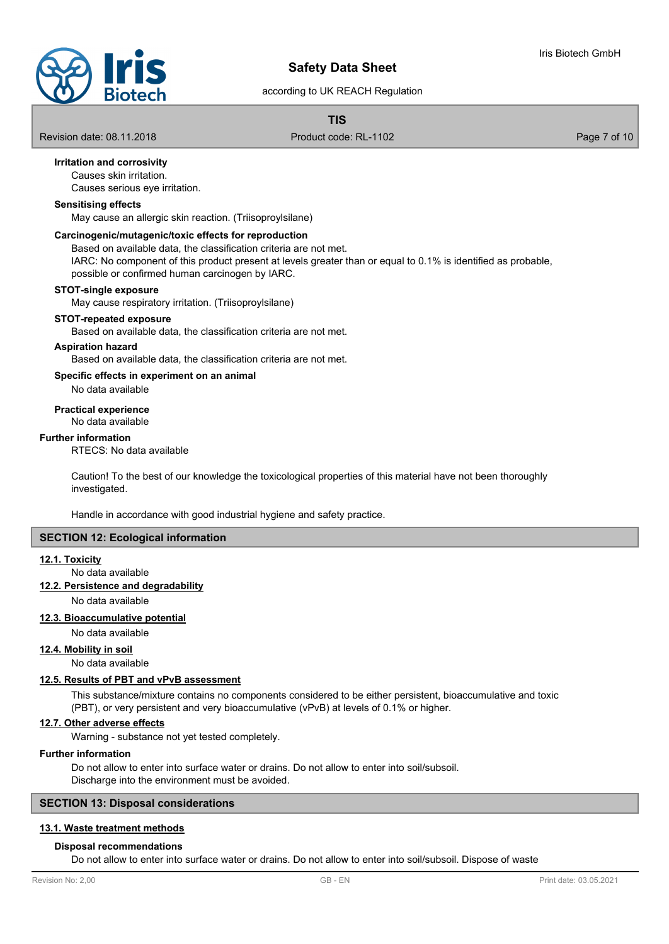

### according to UK REACH Regulation

## **TIS**

Revision date: 08.11.2018 **Product code: RL-1102** Page 7 of 10

### **Irritation and corrosivity**

Causes skin irritation.

Causes serious eye irritation.

### **Sensitising effects**

May cause an allergic skin reaction. (Triisoproylsilane)

#### **Carcinogenic/mutagenic/toxic effects for reproduction**

Based on available data, the classification criteria are not met. IARC: No component of this product present at levels greater than or equal to 0.1% is identified as probable, possible or confirmed human carcinogen by IARC.

#### **STOT-single exposure**

May cause respiratory irritation. (Triisoproylsilane)

#### **STOT-repeated exposure**

Based on available data, the classification criteria are not met.

**Aspiration hazard**

Based on available data, the classification criteria are not met.

### **Specific effects in experiment on an animal**

No data available

#### **Practical experience**

No data available

#### **Further information**

RTECS: No data available

Caution! To the best of our knowledge the toxicological properties of this material have not been thoroughly investigated.

Handle in accordance with good industrial hygiene and safety practice.

### **SECTION 12: Ecological information**

#### **12.1. Toxicity**

No data available

### **12.2. Persistence and degradability**

No data available

#### **12.3. Bioaccumulative potential**

No data available

### **12.4. Mobility in soil**

No data available

### **12.5. Results of PBT and vPvB assessment**

This substance/mixture contains no components considered to be either persistent, bioaccumulative and toxic (PBT), or very persistent and very bioaccumulative (vPvB) at levels of 0.1% or higher.

### **12.7. Other adverse effects**

Warning - substance not yet tested completely.

#### **Further information**

Do not allow to enter into surface water or drains. Do not allow to enter into soil/subsoil. Discharge into the environment must be avoided.

#### **SECTION 13: Disposal considerations**

### **13.1. Waste treatment methods**

### **Disposal recommendations**

Do not allow to enter into surface water or drains. Do not allow to enter into soil/subsoil. Dispose of waste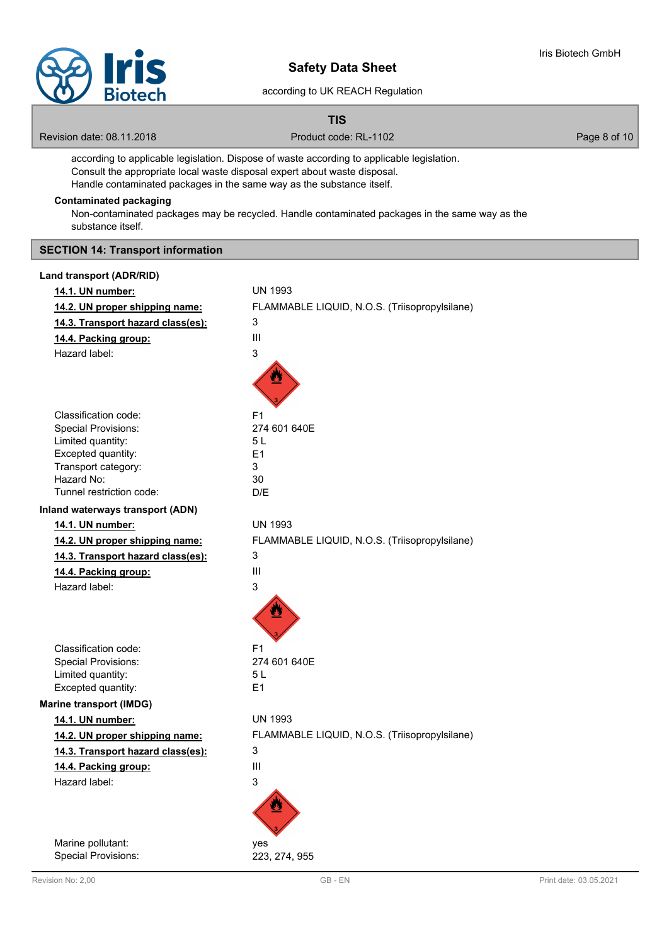

### according to UK REACH Regulation

#### **TIS**

Revision date: 08.11.2018 **Product code: RL-1102** Product code: RL-1102

according to applicable legislation. Dispose of waste according to applicable legislation. Consult the appropriate local waste disposal expert about waste disposal. Handle contaminated packages in the same way as the substance itself.

### **Contaminated packaging**

Non-contaminated packages may be recycled. Handle contaminated packages in the same way as the substance itself.

### **SECTION 14: Transport information**

| 14.1. UN number:                  | <b>UN 1993</b>                                |
|-----------------------------------|-----------------------------------------------|
| 14.2. UN proper shipping name:    | FLAMMABLE LIQUID, N.O.S. (Triisopropylsilane) |
| 14.3. Transport hazard class(es): | 3                                             |
| 14.4. Packing group:              | Ш                                             |
| Hazard label:                     | 3                                             |
|                                   |                                               |
|                                   |                                               |
|                                   |                                               |
| Classification code:              | F <sub>1</sub>                                |
| <b>Special Provisions:</b>        | 274 601 640E                                  |
| Limited quantity:                 | 5 L                                           |
| Excepted quantity:                | E1                                            |
| Transport category:               | 3                                             |
| Hazard No:                        | 30                                            |
| Tunnel restriction code:          | D/E                                           |
| Inland waterways transport (ADN)  |                                               |
| 14.1. UN number:                  | <b>UN 1993</b>                                |
| 14.2. UN proper shipping name:    | FLAMMABLE LIQUID, N.O.S. (Triisopropylsilane) |
| 14.3. Transport hazard class(es): | 3                                             |
| 14.4. Packing group:              | III                                           |
| Hazard label:                     | 3                                             |
|                                   |                                               |
|                                   |                                               |
|                                   |                                               |
| Classification code:              | F <sub>1</sub>                                |
| <b>Special Provisions:</b>        | 274 601 640E                                  |
| Limited quantity:                 | 5 L                                           |
| Excepted quantity:                | E <sub>1</sub>                                |
| <b>Marine transport (IMDG)</b>    |                                               |
| 14.1. UN number:                  | <b>UN 1993</b>                                |
| 14.2. UN proper shipping name:    | FLAMMABLE LIQUID, N.O.S. (Triisopropylsilane) |
| 14.3. Transport hazard class(es): | 3                                             |
| 14.4. Packing group:              | Ш                                             |
| Hazard label:                     | 3                                             |
|                                   |                                               |
|                                   |                                               |
|                                   |                                               |
| Marine pollutant:                 | yes                                           |
| Special Provisions:               | 223, 274, 955                                 |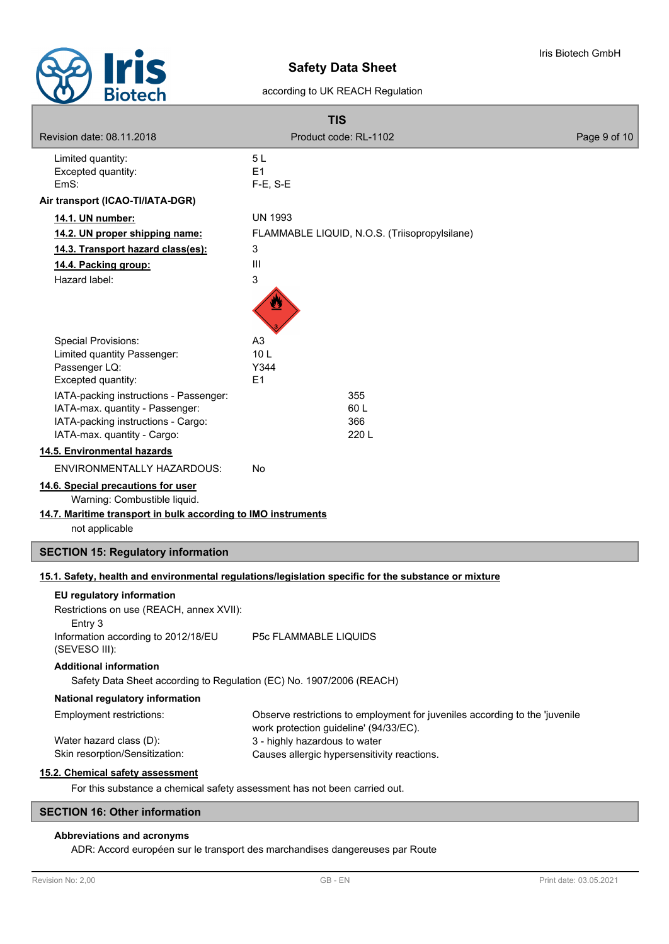

according to UK REACH Regulation

| <b>TIS</b>                                                                |                                                                                                                       |              |
|---------------------------------------------------------------------------|-----------------------------------------------------------------------------------------------------------------------|--------------|
| Revision date: 08.11.2018                                                 | Product code: RL-1102                                                                                                 | Page 9 of 10 |
| Limited quantity:<br>Excepted quantity:<br>EmS:                           | 5L<br>E1<br>$F-E$ , S-E                                                                                               |              |
| Air transport (ICAO-TI/IATA-DGR)                                          |                                                                                                                       |              |
| 14.1. UN number:                                                          | <b>UN 1993</b>                                                                                                        |              |
| 14.2. UN proper shipping name:                                            | FLAMMABLE LIQUID, N.O.S. (Triisopropylsilane)                                                                         |              |
| 14.3. Transport hazard class(es):                                         | 3                                                                                                                     |              |
| 14.4. Packing group:                                                      | Ш                                                                                                                     |              |
| Hazard label:                                                             | 3                                                                                                                     |              |
|                                                                           |                                                                                                                       |              |
| <b>Special Provisions:</b>                                                | A <sub>3</sub>                                                                                                        |              |
| Limited quantity Passenger:                                               | 10 <sub>L</sub>                                                                                                       |              |
| Passenger LQ:<br>Excepted quantity:                                       | Y344<br>E1                                                                                                            |              |
| IATA-packing instructions - Passenger:                                    | 355                                                                                                                   |              |
| IATA-max. quantity - Passenger:                                           | 60 L                                                                                                                  |              |
| IATA-packing instructions - Cargo:                                        | 366                                                                                                                   |              |
| IATA-max. quantity - Cargo:                                               | 220 L                                                                                                                 |              |
| 14.5. Environmental hazards                                               |                                                                                                                       |              |
| <b>ENVIRONMENTALLY HAZARDOUS:</b>                                         | No                                                                                                                    |              |
| 14.6. Special precautions for user<br>Warning: Combustible liquid.        |                                                                                                                       |              |
| 14.7. Maritime transport in bulk according to IMO instruments             |                                                                                                                       |              |
| not applicable                                                            |                                                                                                                       |              |
| <b>SECTION 15: Regulatory information</b>                                 |                                                                                                                       |              |
|                                                                           | 15.1. Safety, health and environmental regulations/legislation specific for the substance or mixture                  |              |
| <b>EU</b> regulatory information                                          |                                                                                                                       |              |
| Restrictions on use (REACH, annex XVII):                                  |                                                                                                                       |              |
| Entry 3                                                                   |                                                                                                                       |              |
| Information according to 2012/18/EU<br>(SEVESO III):                      | <b>P5c FLAMMABLE LIQUIDS</b>                                                                                          |              |
| <b>Additional information</b>                                             |                                                                                                                       |              |
| Safety Data Sheet according to Regulation (EC) No. 1907/2006 (REACH)      |                                                                                                                       |              |
| National regulatory information                                           |                                                                                                                       |              |
| Employment restrictions:                                                  | Observe restrictions to employment for juveniles according to the 'juvenile<br>work protection guideline' (94/33/EC). |              |
| Water hazard class (D):<br>Skin resorption/Sensitization:                 | 3 - highly hazardous to water                                                                                         |              |
|                                                                           | Causes allergic hypersensitivity reactions.                                                                           |              |
| 15.2. Chemical safety assessment                                          |                                                                                                                       |              |
| For this substance a chemical safety assessment has not been carried out. |                                                                                                                       |              |

### **SECTION 16: Other information**

### **Abbreviations and acronyms**

ADR: Accord européen sur le transport des marchandises dangereuses par Route